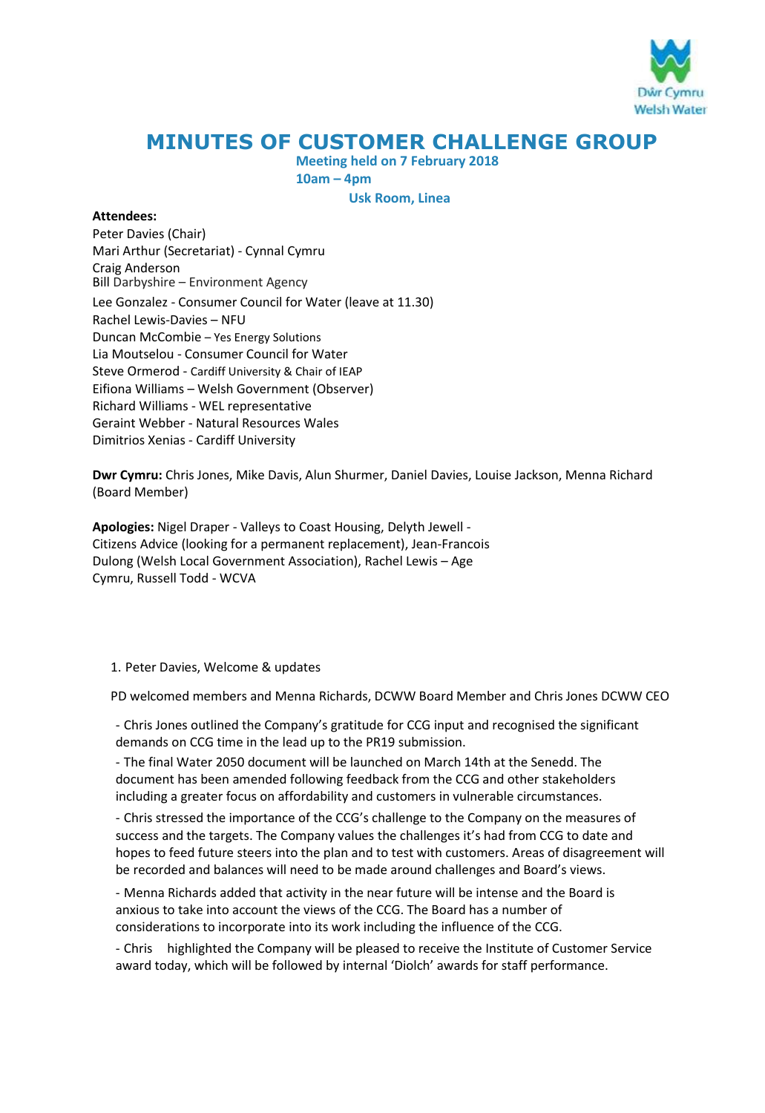

# **MINUTES OF CUSTOMER CHALLENGE GROUP**

**Meeting held on 7 February 2018** 

**10am – 4pm Usk Room, Linea** 

### **Attendees:**

Peter Davies (Chair) Mari Arthur (Secretariat) - Cynnal Cymru Craig Anderson Bill Darbyshire – Environment Agency Lee Gonzalez - Consumer Council for Water (leave at 11.30) Rachel Lewis-Davies – NFU Duncan McCombie – Yes Energy Solutions Lia Moutselou - Consumer Council for Water Steve Ormerod - Cardiff University & Chair of IEAP Eifiona Williams – Welsh Government (Observer) Richard Williams - WEL representative Geraint Webber - Natural Resources Wales Dimitrios Xenias - Cardiff University

**Dwr Cymru:** Chris Jones, Mike Davis, Alun Shurmer, Daniel Davies, Louise Jackson, Menna Richard (Board Member)

**Apologies:** Nigel Draper - Valleys to Coast Housing, Delyth Jewell - Citizens Advice (looking for a permanent replacement), Jean-Francois Dulong (Welsh Local Government Association), Rachel Lewis – Age Cymru, Russell Todd - WCVA

1. Peter Davies, Welcome & updates

PD welcomed members and Menna Richards, DCWW Board Member and Chris Jones DCWW CEO

- Chris Jones outlined the Company's gratitude for CCG input and recognised the significant demands on CCG time in the lead up to the PR19 submission.

- The final Water 2050 document will be launched on March 14th at the Senedd. The document has been amended following feedback from the CCG and other stakeholders including a greater focus on affordability and customers in vulnerable circumstances.

- Chris stressed the importance of the CCG's challenge to the Company on the measures of success and the targets. The Company values the challenges it's had from CCG to date and hopes to feed future steers into the plan and to test with customers. Areas of disagreement will be recorded and balances will need to be made around challenges and Board's views.

- Menna Richards added that activity in the near future will be intense and the Board is anxious to take into account the views of the CCG. The Board has a number of considerations to incorporate into its work including the influence of the CCG.

- Chris highlighted the Company will be pleased to receive the Institute of Customer Service award today, which will be followed by internal 'Diolch' awards for staff performance.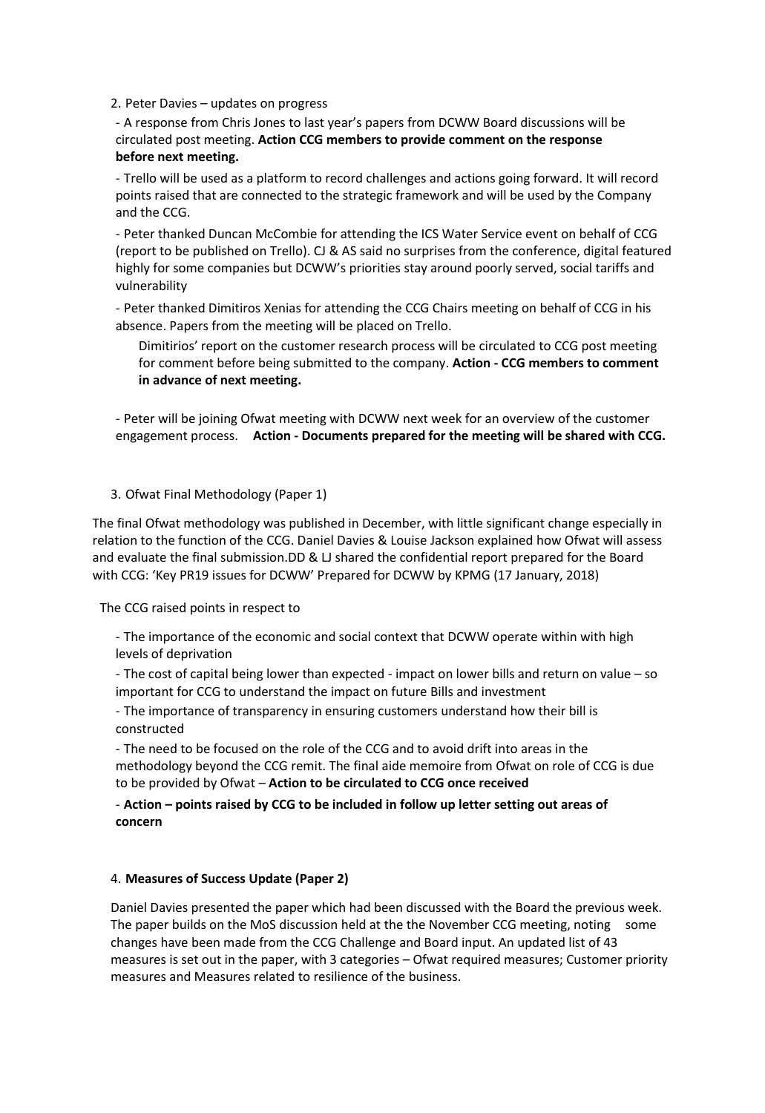2. Peter Davies – updates on progress

- A response from Chris Jones to last year's papers from DCWW Board discussions will be circulated post meeting. **Action CCG members to provide comment on the response before next meeting.** 

- Trello will be used as a platform to record challenges and actions going forward. It will record points raised that are connected to the strategic framework and will be used by the Company and the CCG.

- Peter thanked Duncan McCombie for attending the ICS Water Service event on behalf of CCG (report to be published on Trello). CJ & AS said no surprises from the conference, digital featured highly for some companies but DCWW's priorities stay around poorly served, social tariffs and vulnerability

- Peter thanked Dimitiros Xenias for attending the CCG Chairs meeting on behalf of CCG in his absence. Papers from the meeting will be placed on Trello.

Dimitirios' report on the customer research process will be circulated to CCG post meeting for comment before being submitted to the company. **Action - CCG members to comment in advance of next meeting.** 

- Peter will be joining Ofwat meeting with DCWW next week for an overview of the customer engagement process. **Action - Documents prepared for the meeting will be shared with CCG.** 

#### 3. Ofwat Final Methodology (Paper 1)

The final Ofwat methodology was published in December, with little significant change especially in relation to the function of the CCG. Daniel Davies & Louise Jackson explained how Ofwat will assess and evaluate the final submission.DD & LJ shared the confidential report prepared for the Board with CCG: 'Key PR19 issues for DCWW' Prepared for DCWW by KPMG (17 January, 2018)

The CCG raised points in respect to

- The importance of the economic and social context that DCWW operate within with high levels of deprivation

- The cost of capital being lower than expected - impact on lower bills and return on value – so important for CCG to understand the impact on future Bills and investment

- The importance of transparency in ensuring customers understand how their bill is constructed

- The need to be focused on the role of the CCG and to avoid drift into areas in the methodology beyond the CCG remit. The final aide memoire from Ofwat on role of CCG is due to be provided by Ofwat – **Action to be circulated to CCG once received**

# - **Action – points raised by CCG to be included in follow up letter setting out areas of concern**

#### 4. **Measures of Success Update (Paper 2)**

Daniel Davies presented the paper which had been discussed with the Board the previous week. The paper builds on the MoS discussion held at the the November CCG meeting, noting some changes have been made from the CCG Challenge and Board input. An updated list of 43 measures is set out in the paper, with 3 categories – Ofwat required measures; Customer priority measures and Measures related to resilience of the business.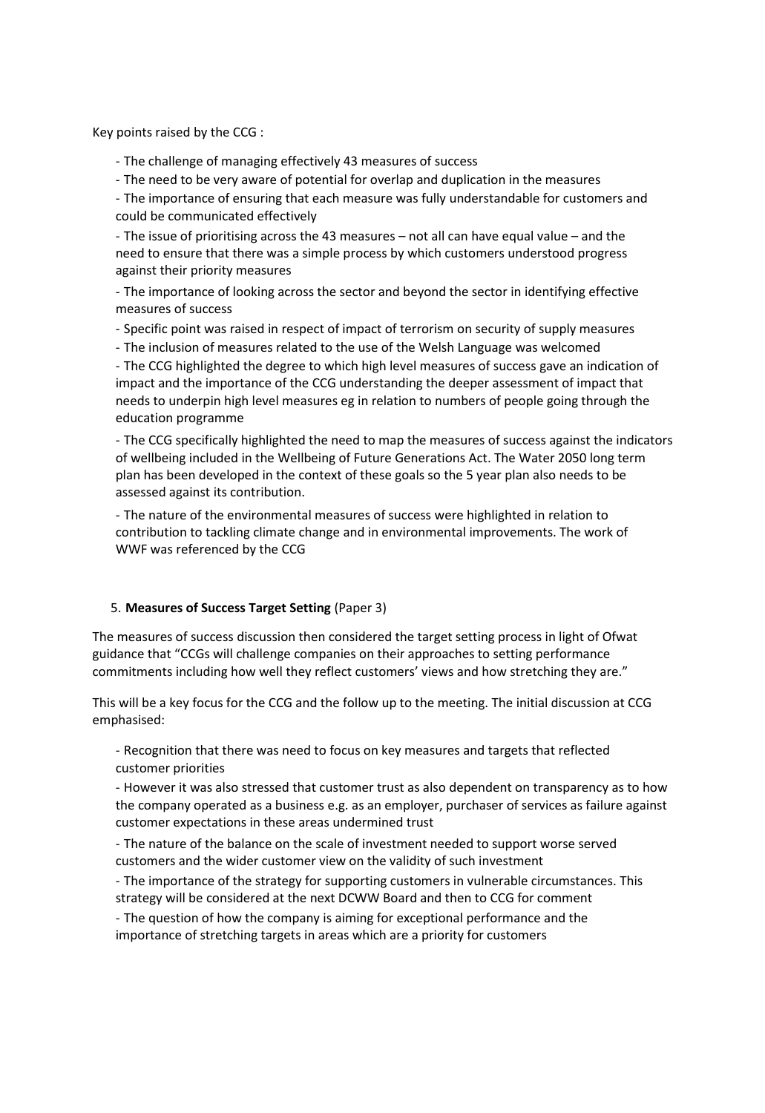Key points raised by the CCG :

- The challenge of managing effectively 43 measures of success

- The need to be very aware of potential for overlap and duplication in the measures

- The importance of ensuring that each measure was fully understandable for customers and could be communicated effectively

- The issue of prioritising across the 43 measures – not all can have equal value – and the need to ensure that there was a simple process by which customers understood progress against their priority measures

- The importance of looking across the sector and beyond the sector in identifying effective measures of success

- Specific point was raised in respect of impact of terrorism on security of supply measures

- The inclusion of measures related to the use of the Welsh Language was welcomed

- The CCG highlighted the degree to which high level measures of success gave an indication of impact and the importance of the CCG understanding the deeper assessment of impact that needs to underpin high level measures eg in relation to numbers of people going through the education programme

- The CCG specifically highlighted the need to map the measures of success against the indicators of wellbeing included in the Wellbeing of Future Generations Act. The Water 2050 long term plan has been developed in the context of these goals so the 5 year plan also needs to be assessed against its contribution.

- The nature of the environmental measures of success were highlighted in relation to contribution to tackling climate change and in environmental improvements. The work of WWF was referenced by the CCG

### 5. **Measures of Success Target Setting** (Paper 3)

The measures of success discussion then considered the target setting process in light of Ofwat guidance that "CCGs will challenge companies on their approaches to setting performance commitments including how well they reflect customers' views and how stretching they are."

This will be a key focus for the CCG and the follow up to the meeting. The initial discussion at CCG emphasised:

- Recognition that there was need to focus on key measures and targets that reflected customer priorities

- However it was also stressed that customer trust as also dependent on transparency as to how the company operated as a business e.g. as an employer, purchaser of services as failure against customer expectations in these areas undermined trust

- The nature of the balance on the scale of investment needed to support worse served customers and the wider customer view on the validity of such investment

- The importance of the strategy for supporting customers in vulnerable circumstances. This strategy will be considered at the next DCWW Board and then to CCG for comment

- The question of how the company is aiming for exceptional performance and the importance of stretching targets in areas which are a priority for customers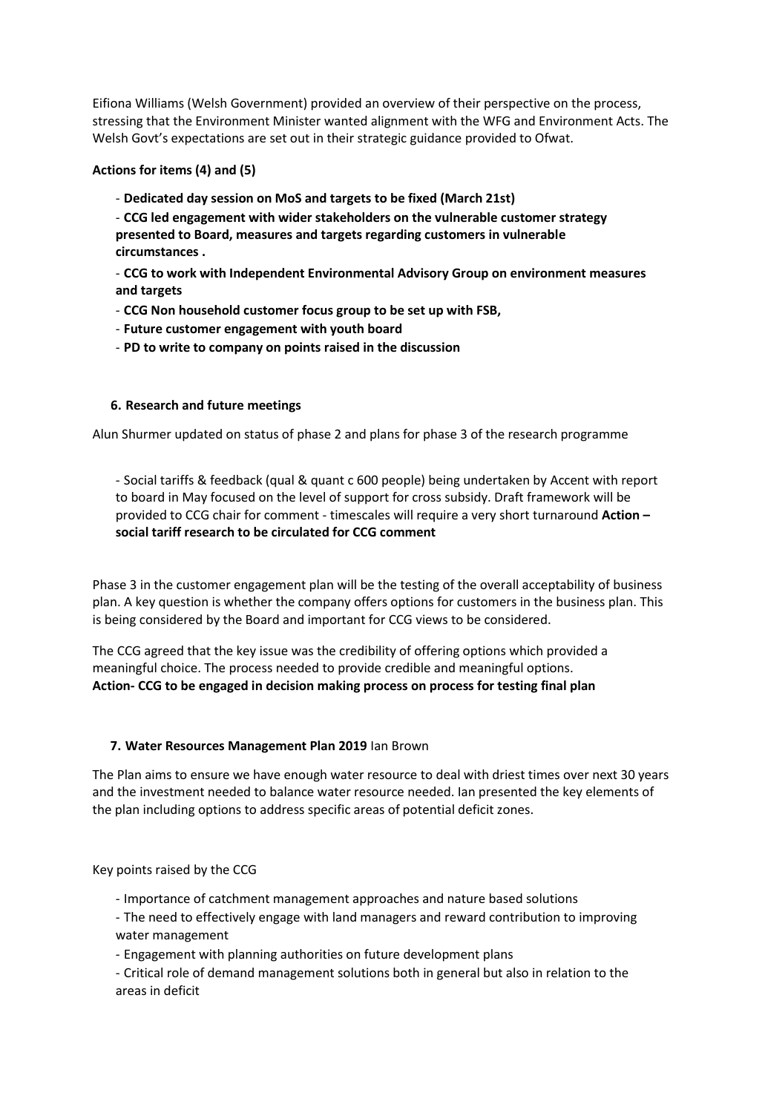Eifiona Williams (Welsh Government) provided an overview of their perspective on the process, stressing that the Environment Minister wanted alignment with the WFG and Environment Acts. The Welsh Govt's expectations are set out in their strategic guidance provided to Ofwat.

### **Actions for items (4) and (5)**

- **Dedicated day session on MoS and targets to be fixed (March 21st)**
- **CCG led engagement with wider stakeholders on the vulnerable customer strategy presented to Board, measures and targets regarding customers in vulnerable circumstances .**

- **CCG to work with Independent Environmental Advisory Group on environment measures and targets** 

- **CCG Non household customer focus group to be set up with FSB,**
- **Future customer engagement with youth board**
- **PD to write to company on points raised in the discussion**

# **6. Research and future meetings**

Alun Shurmer updated on status of phase 2 and plans for phase 3 of the research programme

- Social tariffs & feedback (qual & quant c 600 people) being undertaken by Accent with report to board in May focused on the level of support for cross subsidy. Draft framework will be provided to CCG chair for comment - timescales will require a very short turnaround **Action – social tariff research to be circulated for CCG comment**

Phase 3 in the customer engagement plan will be the testing of the overall acceptability of business plan. A key question is whether the company offers options for customers in the business plan. This is being considered by the Board and important for CCG views to be considered.

The CCG agreed that the key issue was the credibility of offering options which provided a meaningful choice. The process needed to provide credible and meaningful options. **Action- CCG to be engaged in decision making process on process for testing final plan**

### **7. Water Resources Management Plan 2019** Ian Brown

The Plan aims to ensure we have enough water resource to deal with driest times over next 30 years and the investment needed to balance water resource needed. Ian presented the key elements of the plan including options to address specific areas of potential deficit zones.

Key points raised by the CCG

- Importance of catchment management approaches and nature based solutions
- The need to effectively engage with land managers and reward contribution to improving water management
- Engagement with planning authorities on future development plans
- Critical role of demand management solutions both in general but also in relation to the areas in deficit